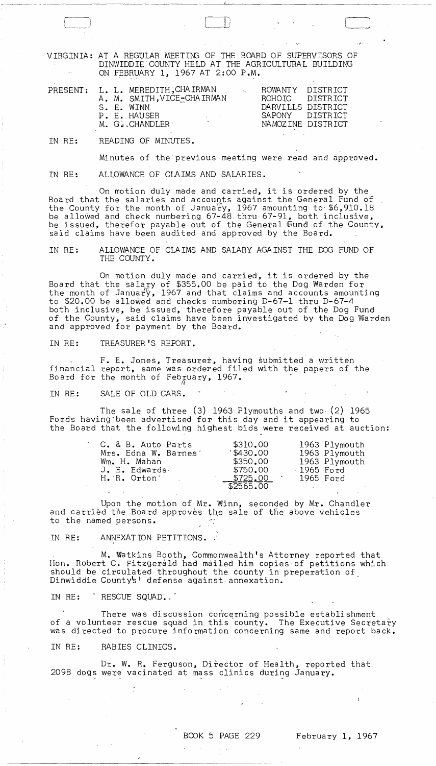VIRGINIA: AT A REGULAR MEETING OF THE BOARD OF SUPERVISORS OF DINWIDDIE COUNTY HELD AT THE AGRICULTURAL BUILDING ON FEBRUARY 1, 1967 AT 2:00 P.M.

, - ------- -,--~-------

|  |  |  | PRESENT: L. L. MEREDITH, CHAIRMAN<br>A. M. SMITH, VICE-CHAIRMAN<br>S. E. WINN<br>P. E. HAUSER<br>and the state of the state<br>M. G. CHANDLER |  |  | ROWANTY DISTRICT<br>DARVILLS DISTRICT<br>SAPONY DISTRICT | ROHOTC DISTRICT<br>NAMOZINE DISTRICT |
|--|--|--|-----------------------------------------------------------------------------------------------------------------------------------------------|--|--|----------------------------------------------------------|--------------------------------------|
|--|--|--|-----------------------------------------------------------------------------------------------------------------------------------------------|--|--|----------------------------------------------------------|--------------------------------------|

IN RE: READING OF MINUTES.

Minutes of the previous meeting were read and approved.

IN RE: ALLOWANCE OF CLAIMS AND SALARIES.

in the set of the set of  $\Box$ 

On motion duly made and carried, it is ordered by the Board that the salaries and accounts against the General Fund of the County for the month of Janua $_{\text{TV}}$ , 1967 amounting to \$6,910.18 be allowed and check numbering 67-48 thru 67-91, both inclusive, be issued, therefor payable out of the General Fund of the County, said claims have been audited and approved by the Board.

IN RE: ALLOWANCE OF CLAIMS AND SALARY AGAINST THE DOG FUND OF THE COUNTY.

On motion duly made and carried, it is ordered by the Board that the salary of \$355.00 be paid to the Dog Warden for the month of January, 1967 and that claims and accounts amounting to \$20.00 be allowed and checks numbering D-67-1 thru D-67-4 both inclusive, be issued, therefore payable out of the Dog Fund of the County, said claims have been investigated by the Dog Warden and approved for payment by the Board.

IN RE: TREASURER'S REPORT.

F. E. Jones, Treasurer, having submitted a written financial report, same was ordered filed with the papers of the Board for the month of February, 1967.

IN RE: SALE OF OLD CARS.

The sale of three (3) 1963 Plymouths and two (2) 1965 Fords having"been advertised for this day and it appearing to the' Board that the following highest bids were received at auction:

| C. & B. Auto Parts   | \$310.00         | 1963 Plymouth |
|----------------------|------------------|---------------|
| Mrs. Edna W. Barnes' | $11.30 \cdot 00$ | 1963 Plymouth |
| Wm. H. Mahan         | \$350.00         | 1963 Plymouth |
| J. E. Edwards        | \$750.00         | 1965 Ford     |
| H. R. Orton          | \$725.00         | 1965 Ford     |
|                      | \$2565.00        |               |

Upon the motion of Mr. Winn, seconded by Mr. Chandler and carried the Board approves the sale of the above vehicles to the named persons.

IN RE: ANNEXATION PETITIONS.

M.Watkins Booth, Commonwealth's Attorney reported that Hon. Robert C. Fitzgeråld had måiled him copies of petitions which should be circulated throughout the county in preperation of  $D$ inwiddie County's<sup> $\downarrow$ </sup> defense against annexation.

IN RE: FRESCUE SQUAD.

There was discussion concerning possible establishment of a volunteer rescue squad in this county. The Executive Secretary was directed to procure information concerning same and report back.

IN RE: RABIES CLINICS.

Dr. W. R. Ferguson, Director of Health, reported that 2098 dogs were vacinated at mass clinics during January.

 $\label{eq:2} \frac{1}{\sqrt{2\pi}}\frac{1}{\sqrt{2\pi}}\frac{d\phi}{d\phi}$ 

 $\mathbf{I}$